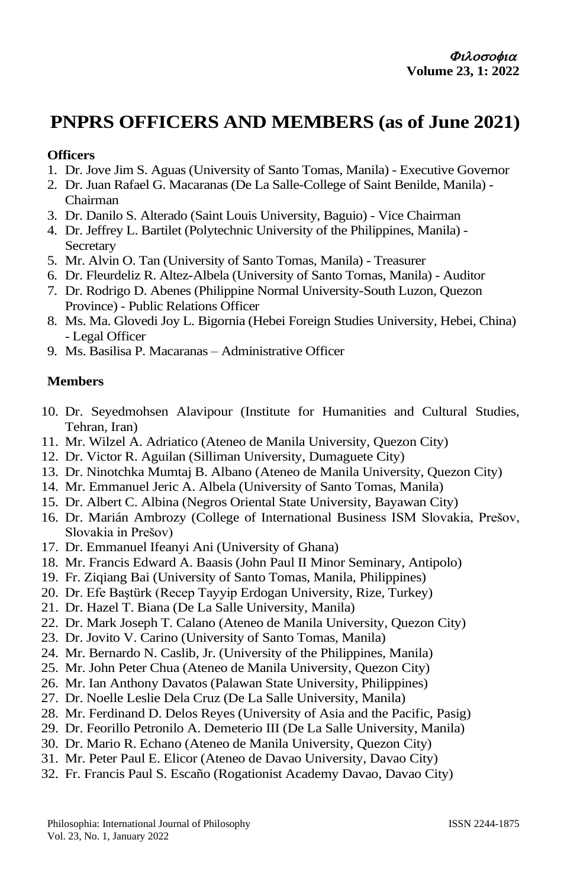## **PNPRS OFFICERS AND MEMBERS (as of June 2021)**

## **Officers**

- 1. Dr. Jove Jim S. Aguas (University of Santo Tomas, Manila) Executive Governor
- 2. Dr. Juan Rafael G. Macaranas (De La Salle-College of Saint Benilde, Manila) Chairman
- 3. Dr. Danilo S. Alterado (Saint Louis University, Baguio) Vice Chairman
- 4. Dr. Jeffrey L. Bartilet (Polytechnic University of the Philippines, Manila) **Secretary**
- 5. Mr. Alvin O. Tan (University of Santo Tomas, Manila) Treasurer
- 6. Dr. Fleurdeliz R. Altez-Albela (University of Santo Tomas, Manila) Auditor
- 7. Dr. Rodrigo D. Abenes (Philippine Normal University-South Luzon, Quezon Province) - Public Relations Officer
- 8. Ms. Ma. Glovedi Joy L. Bigornia (Hebei Foreign Studies University, Hebei, China) - Legal Officer
- 9. Ms. Basilisa P. Macaranas Administrative Officer

## **Members**

- 10. Dr. Seyedmohsen Alavipour (Institute for Humanities and Cultural Studies, Tehran, Iran)
- 11. Mr. Wilzel A. Adriatico (Ateneo de Manila University, Quezon City)
- 12. Dr. Victor R. Aguilan (Silliman University, Dumaguete City)
- 13. Dr. Ninotchka Mumtaj B. Albano (Ateneo de Manila University, Quezon City)
- 14. Mr. Emmanuel Jeric A. Albela (University of Santo Tomas, Manila)
- 15. Dr. Albert C. Albina (Negros Oriental State University, Bayawan City)
- 16. Dr. Marián Ambrozy (College of International Business ISM Slovakia, Prešov, Slovakia in Prešov)
- 17. Dr. Emmanuel Ifeanyi Ani (University of Ghana)
- 18. Mr. Francis Edward A. Baasis (John Paul II Minor Seminary, Antipolo)
- 19. Fr. Ziqiang Bai (University of Santo Tomas, Manila, Philippines)
- 20. Dr. Efe Baştürk (Recep Tayyip Erdogan University, Rize, Turkey)
- 21. Dr. Hazel T. Biana (De La Salle University, Manila)
- 22. Dr. Mark Joseph T. Calano (Ateneo de Manila University, Quezon City)
- 23. Dr. Jovito V. Carino (University of Santo Tomas, Manila)
- 24. Mr. Bernardo N. Caslib, Jr. (University of the Philippines, Manila)
- 25. Mr. John Peter Chua (Ateneo de Manila University, Quezon City)
- 26. Mr. Ian Anthony Davatos (Palawan State University, Philippines)
- 27. Dr. Noelle Leslie Dela Cruz (De La Salle University, Manila)
- 28. Mr. Ferdinand D. Delos Reyes (University of Asia and the Pacific, Pasig)
- 29. Dr. Feorillo Petronilo A. Demeterio III (De La Salle University, Manila)
- 30. Dr. Mario R. Echano (Ateneo de Manila University, Quezon City)
- 31. Mr. Peter Paul E. Elicor (Ateneo de Davao University, Davao City)
- 32. Fr. Francis Paul S. Escaño (Rogationist Academy Davao, Davao City)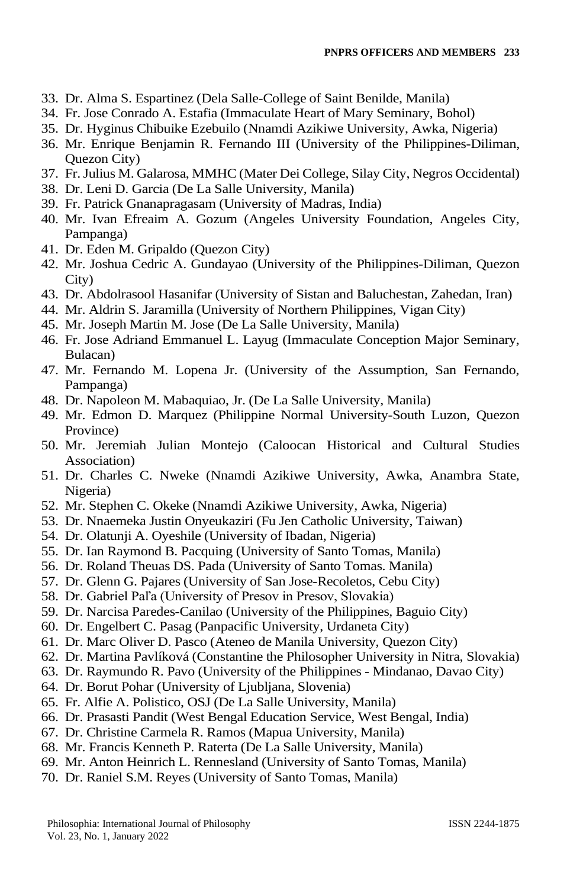- 33. Dr. Alma S. Espartinez (Dela Salle-College of Saint Benilde, Manila)
- 34. Fr. Jose Conrado A. Estafia (Immaculate Heart of Mary Seminary, Bohol)
- 35. Dr. Hyginus Chibuike Ezebuilo (Nnamdi Azikiwe University, Awka, Nigeria)
- 36. Mr. Enrique Benjamin R. Fernando III (University of the Philippines-Diliman, Quezon City)
- 37. Fr. Julius M. Galarosa, MMHC (Mater Dei College, Silay City, Negros Occidental)
- 38. Dr. Leni D. Garcia (De La Salle University, Manila)
- 39. Fr. Patrick Gnanapragasam (University of Madras, India)
- 40. Mr. Ivan Efreaim A. Gozum (Angeles University Foundation, Angeles City, Pampanga)
- 41. Dr. Eden M. Gripaldo (Quezon City)
- 42. Mr. Joshua Cedric A. Gundayao (University of the Philippines-Diliman, Quezon City)
- 43. Dr. Abdolrasool Hasanifar (University of Sistan and Baluchestan, Zahedan, Iran)
- 44. Mr. Aldrin S. Jaramilla (University of Northern Philippines, Vigan City)
- 45. Mr. Joseph Martin M. Jose (De La Salle University, Manila)
- 46. Fr. Jose Adriand Emmanuel L. Layug (Immaculate Conception Major Seminary, Bulacan)
- 47. Mr. Fernando M. Lopena Jr. (University of the Assumption, San Fernando, Pampanga)
- 48. Dr. Napoleon M. Mabaquiao, Jr. (De La Salle University, Manila)
- 49. Mr. Edmon D. Marquez (Philippine Normal University-South Luzon, Quezon Province)
- 50. Mr. Jeremiah Julian Montejo (Caloocan Historical and Cultural Studies Association)
- 51. Dr. Charles C. Nweke (Nnamdi Azikiwe University, Awka, Anambra State, Nigeria)
- 52. Mr. Stephen C. Okeke (Nnamdi Azikiwe University, Awka, Nigeria)
- 53. Dr. Nnaemeka Justin Onyeukaziri (Fu Jen Catholic University, Taiwan)
- 54. Dr. Olatunji A. Oyeshile (University of Ibadan, Nigeria)
- 55. Dr. Ian Raymond B. Pacquing (University of Santo Tomas, Manila)
- 56. Dr. Roland Theuas DS. Pada (University of Santo Tomas. Manila)
- 57. Dr. Glenn G. Pajares (University of San Jose-Recoletos, Cebu City)
- 58. Dr. Gabriel Paľa (University of Presov in Presov, Slovakia)
- 59. Dr. Narcisa Paredes-Canilao (University of the Philippines, Baguio City)
- 60. Dr. Engelbert C. Pasag (Panpacific University, Urdaneta City)
- 61. Dr. Marc Oliver D. Pasco (Ateneo de Manila University, Quezon City)
- 62. Dr. Martina Pavlíková (Constantine the Philosopher University in Nitra, Slovakia)
- 63. Dr. Raymundo R. Pavo (University of the Philippines Mindanao, Davao City)
- 64. Dr. Borut Pohar (University of Ljubljana, Slovenia)
- 65. Fr. Alfie A. Polistico, OSJ (De La Salle University, Manila)
- 66. Dr. Prasasti Pandit (West Bengal Education Service, West Bengal, India)
- 67. Dr. Christine Carmela R. Ramos (Mapua University, Manila)
- 68. Mr. Francis Kenneth P. Raterta (De La Salle University, Manila)
- 69. Mr. Anton Heinrich L. Rennesland (University of Santo Tomas, Manila)
- 70. Dr. Raniel S.M. Reyes (University of Santo Tomas, Manila)